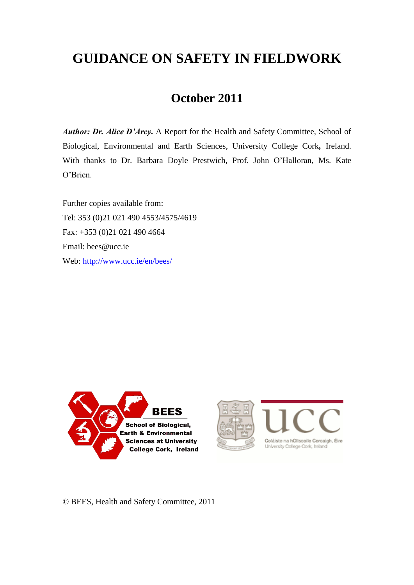# **GUIDANCE ON SAFETY IN FIELDWORK**

## **October 2011**

*Author: Dr. Alice D'Arcy.* A Report for the Health and Safety Committee, School of Biological, Environmental and Earth Sciences, University College Cork*,* Ireland. With thanks to Dr. Barbara Doyle Prestwich, Prof. John O'Halloran, Ms. Kate O'Brien.

Further copies available from: Tel: 353 (0)21 021 490 4553/4575/4619 Fax: +353 (0)21 021 490 4664 Email: bees@ucc.ie Web: <http://www.ucc.ie/en/bees/>







© BEES, Health and Safety Committee, 2011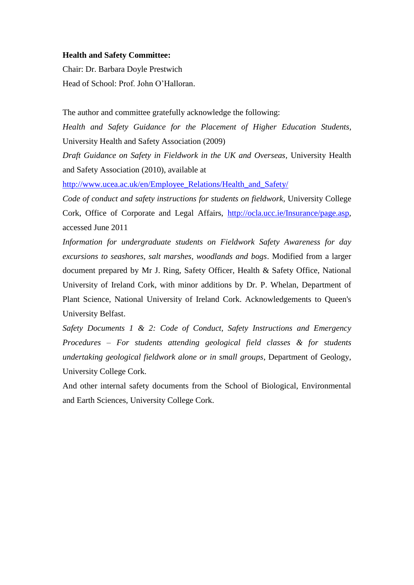#### **Health and Safety Committee:**

Chair: Dr. Barbara Doyle Prestwich Head of School: Prof. John O'Halloran.

The author and committee gratefully acknowledge the following:

*Health and Safety Guidance for the Placement of Higher Education Students,* University Health and Safety Association (2009)

*Draft Guidance on Safety in Fieldwork in the UK and Overseas,* University Health and Safety Association (2010), available at

[http://www.ucea.ac.uk/en/Employee\\_Relations/Health\\_and\\_Safety/](http://www.ucea.ac.uk/en/Employee_Relations/Health_and_Safety/)

*Code of conduct and safety instructions for students on fieldwork*, University College Cork, Office of Corporate and Legal Affairs, [http://ocla.ucc.ie/Insurance/page.asp,](http://ocla.ucc.ie/Insurance/page.asp) accessed June 2011

*Information for undergraduate students on Fieldwork Safety Awareness for day excursions to seashores, salt marshes, woodlands and bogs*. Modified from a larger document prepared by Mr J. Ring, Safety Officer, Health & Safety Office, National University of Ireland Cork, with minor additions by Dr. P. Whelan, Department of Plant Science, National University of Ireland Cork. Acknowledgements to Queen's University Belfast.

*Safety Documents 1 & 2: Code of Conduct, Safety Instructions and Emergency Procedures – For students attending geological field classes & for students undertaking geological fieldwork alone or in small groups*, Department of Geology, University College Cork.

And other internal safety documents from the School of Biological, Environmental and Earth Sciences, University College Cork.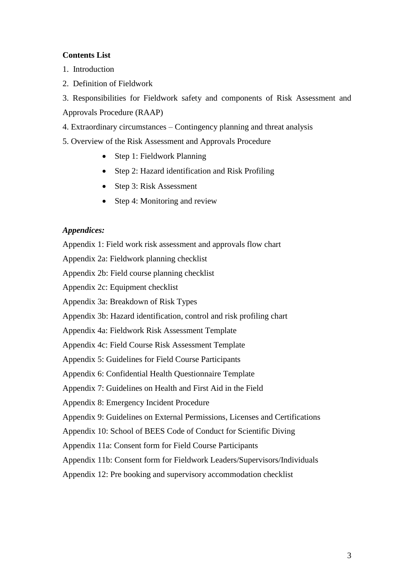#### **Contents List**

- 1. Introduction
- 2. Definition of Fieldwork

3. Responsibilities for Fieldwork safety and components of Risk Assessment and Approvals Procedure (RAAP)

4. Extraordinary circumstances – Contingency planning and threat analysis

5. Overview of the Risk Assessment and Approvals Procedure

- Step 1: Fieldwork Planning
- Step 2: Hazard identification and Risk Profiling
- Step 3: Risk Assessment
- Step 4: Monitoring and review

#### *Appendices:*

Appendix 1: Field work risk assessment and approvals flow chart

Appendix 2a: Fieldwork planning checklist

Appendix 2b: Field course planning checklist

Appendix 2c: Equipment checklist

Appendix 3a: Breakdown of Risk Types

Appendix 3b: Hazard identification, control and risk profiling chart

Appendix 4a: Fieldwork Risk Assessment Template

Appendix 4c: Field Course Risk Assessment Template

Appendix 5: Guidelines for Field Course Participants

Appendix 6: Confidential Health Questionnaire Template

Appendix 7: Guidelines on Health and First Aid in the Field

Appendix 8: Emergency Incident Procedure

Appendix 9: Guidelines on External Permissions, Licenses and Certifications

Appendix 10: School of BEES Code of Conduct for Scientific Diving

Appendix 11a: Consent form for Field Course Participants

Appendix 11b: Consent form for Fieldwork Leaders/Supervisors/Individuals

Appendix 12: Pre booking and supervisory accommodation checklist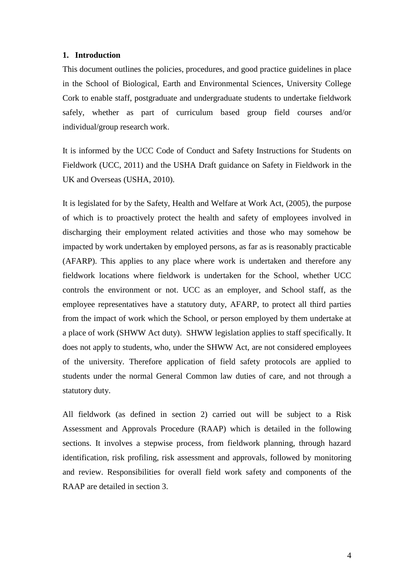#### **1. Introduction**

This document outlines the policies, procedures, and good practice guidelines in place in the School of Biological, Earth and Environmental Sciences, University College Cork to enable staff, postgraduate and undergraduate students to undertake fieldwork safely, whether as part of curriculum based group field courses and/or individual/group research work.

It is informed by the UCC Code of Conduct and Safety Instructions for Students on Fieldwork (UCC, 2011) and the USHA Draft guidance on Safety in Fieldwork in the UK and Overseas (USHA, 2010).

It is legislated for by the Safety, Health and Welfare at Work Act, (2005), the purpose of which is to proactively protect the health and safety of employees involved in discharging their employment related activities and those who may somehow be impacted by work undertaken by employed persons, as far as is reasonably practicable (AFARP). This applies to any place where work is undertaken and therefore any fieldwork locations where fieldwork is undertaken for the School, whether UCC controls the environment or not. UCC as an employer, and School staff, as the employee representatives have a statutory duty, AFARP, to protect all third parties from the impact of work which the School, or person employed by them undertake at a place of work (SHWW Act duty). SHWW legislation applies to staff specifically. It does not apply to students, who, under the SHWW Act, are not considered employees of the university. Therefore application of field safety protocols are applied to students under the normal General Common law duties of care, and not through a statutory duty.

All fieldwork (as defined in section 2) carried out will be subject to a Risk Assessment and Approvals Procedure (RAAP) which is detailed in the following sections. It involves a stepwise process, from fieldwork planning, through hazard identification, risk profiling, risk assessment and approvals, followed by monitoring and review. Responsibilities for overall field work safety and components of the RAAP are detailed in section 3.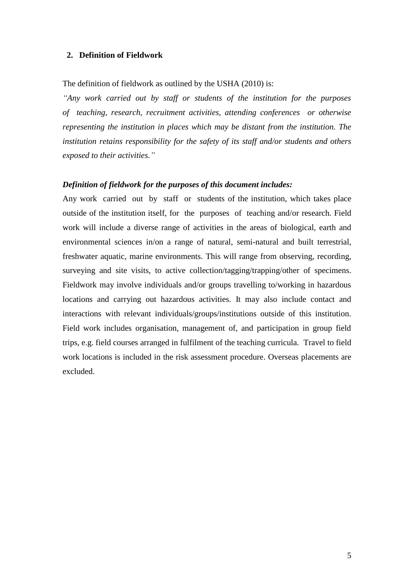#### **2. Definition of Fieldwork**

The definition of fieldwork as outlined by the USHA (2010) is:

*"Any work carried out by staff or students of the institution for the purposes of teaching, research, recruitment activities, attending conferences or otherwise representing the institution in places which may be distant from the institution. The institution retains responsibility for the safety of its staff and/or students and others exposed to their activities."*

#### *Definition of fieldwork for the purposes of this document includes:*

Any work carried out by staff or students of the institution, which takes place outside of the institution itself, for the purposes of teaching and/or research. Field work will include a diverse range of activities in the areas of biological, earth and environmental sciences in/on a range of natural, semi-natural and built terrestrial, freshwater aquatic, marine environments. This will range from observing, recording, surveying and site visits, to active collection/tagging/trapping/other of specimens. Fieldwork may involve individuals and/or groups travelling to/working in hazardous locations and carrying out hazardous activities. It may also include contact and interactions with relevant individuals/groups/institutions outside of this institution. Field work includes organisation, management of, and participation in group field trips, e.g. field courses arranged in fulfilment of the teaching curricula. Travel to field work locations is included in the risk assessment procedure. Overseas placements are excluded.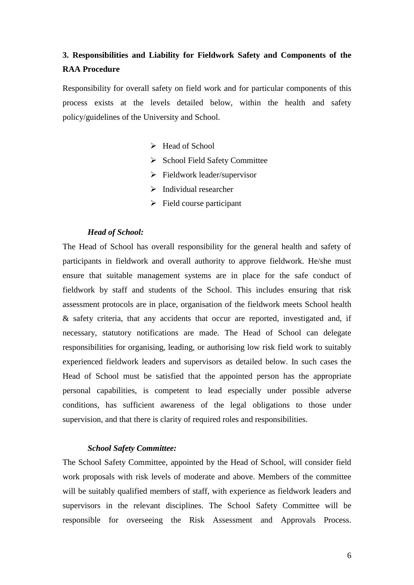### **3. Responsibilities and Liability for Fieldwork Safety and Components of the RAA Procedure**

Responsibility for overall safety on field work and for particular components of this process exists at the levels detailed below, within the health and safety policy/guidelines of the University and School.

- $\blacktriangleright$  Head of School
- $\triangleright$  School Field Safety Committee
- $\triangleright$  Fieldwork leader/supervisor
- $\triangleright$  Individual researcher
- $\triangleright$  Field course participant

#### *Head of School:*

The Head of School has overall responsibility for the general health and safety of participants in fieldwork and overall authority to approve fieldwork. He/she must ensure that suitable management systems are in place for the safe conduct of fieldwork by staff and students of the School. This includes ensuring that risk assessment protocols are in place, organisation of the fieldwork meets School health & safety criteria, that any accidents that occur are reported, investigated and, if necessary, statutory notifications are made. The Head of School can delegate responsibilities for organising, leading, or authorising low risk field work to suitably experienced fieldwork leaders and supervisors as detailed below. In such cases the Head of School must be satisfied that the appointed person has the appropriate personal capabilities, is competent to lead especially under possible adverse conditions, has sufficient awareness of the legal obligations to those under supervision, and that there is clarity of required roles and responsibilities.

#### *School Safety Committee:*

The School Safety Committee, appointed by the Head of School, will consider field work proposals with risk levels of moderate and above. Members of the committee will be suitably qualified members of staff, with experience as fieldwork leaders and supervisors in the relevant disciplines. The School Safety Committee will be responsible for overseeing the Risk Assessment and Approvals Process.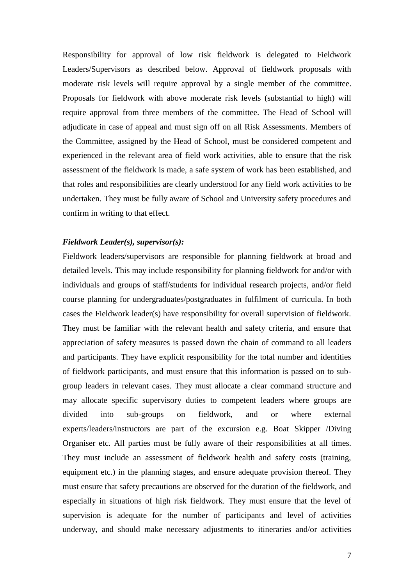Responsibility for approval of low risk fieldwork is delegated to Fieldwork Leaders/Supervisors as described below. Approval of fieldwork proposals with moderate risk levels will require approval by a single member of the committee. Proposals for fieldwork with above moderate risk levels (substantial to high) will require approval from three members of the committee. The Head of School will adjudicate in case of appeal and must sign off on all Risk Assessments. Members of the Committee, assigned by the Head of School, must be considered competent and experienced in the relevant area of field work activities, able to ensure that the risk assessment of the fieldwork is made, a safe system of work has been established, and that roles and responsibilities are clearly understood for any field work activities to be undertaken. They must be fully aware of School and University safety procedures and confirm in writing to that effect.

#### *Fieldwork Leader(s), supervisor(s):*

Fieldwork leaders/supervisors are responsible for planning fieldwork at broad and detailed levels. This may include responsibility for planning fieldwork for and/or with individuals and groups of staff/students for individual research projects, and/or field course planning for undergraduates/postgraduates in fulfilment of curricula. In both cases the Fieldwork leader(s) have responsibility for overall supervision of fieldwork. They must be familiar with the relevant health and safety criteria, and ensure that appreciation of safety measures is passed down the chain of command to all leaders and participants. They have explicit responsibility for the total number and identities of fieldwork participants, and must ensure that this information is passed on to subgroup leaders in relevant cases. They must allocate a clear command structure and may allocate specific supervisory duties to competent leaders where groups are divided into sub-groups on fieldwork, and or where external experts/leaders/instructors are part of the excursion e.g. Boat Skipper /Diving Organiser etc. All parties must be fully aware of their responsibilities at all times. They must include an assessment of fieldwork health and safety costs (training, equipment etc.) in the planning stages, and ensure adequate provision thereof. They must ensure that safety precautions are observed for the duration of the fieldwork, and especially in situations of high risk fieldwork. They must ensure that the level of supervision is adequate for the number of participants and level of activities underway, and should make necessary adjustments to itineraries and/or activities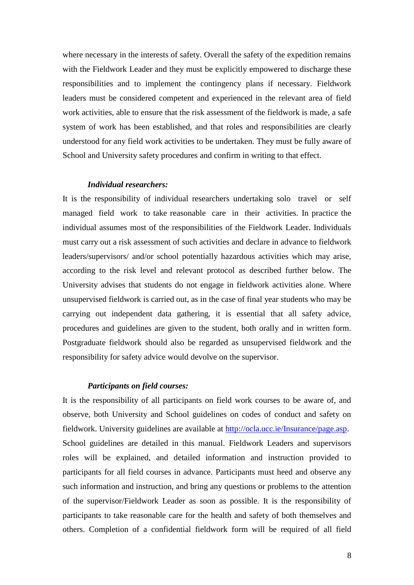where necessary in the interests of safety. Overall the safety of the expedition remains with the Fieldwork Leader and they must be explicitly empowered to discharge these responsibilities and to implement the contingency plans if necessary. Fieldwork leaders must be considered competent and experienced in the relevant area of field work activities, able to ensure that the risk assessment of the fieldwork is made, a safe system of work has been established, and that roles and responsibilities are clearly understood for any field work activities to be undertaken. They must be fully aware of School and University safety procedures and confirm in writing to that effect.

#### *Individual researchers:*

It is the responsibility of individual researchers undertaking solo travel or self managed field work to take reasonable care in their activities. In practice the individual assumes most of the responsibilities of the Fieldwork Leader. Individuals must carry out a risk assessment of such activities and declare in advance to fieldwork leaders/supervisors/ and/or school potentially hazardous activities which may arise, according to the risk level and relevant protocol as described further below. The University advises that students do not engage in fieldwork activities alone. Where unsupervised fieldwork is carried out, as in the case of final year students who may be carrying out independent data gathering, it is essential that all safety advice, procedures and guidelines are given to the student, both orally and in written form. Postgraduate fieldwork should also be regarded as unsupervised fieldwork and the responsibility for safety advice would devolve on the supervisor.

#### *Participants on field courses:*

It is the responsibility of all participants on field work courses to be aware of, and observe, both University and School guidelines on codes of conduct and safety on fieldwork. University guidelines are available at [http://ocla.ucc.ie/Insurance/page.asp.](http://ocla.ucc.ie/Insurance/page.asp) School guidelines are detailed in this manual. Fieldwork Leaders and supervisors roles will be explained, and detailed information and instruction provided to participants for all field courses in advance. Participants must heed and observe any such information and instruction, and bring any questions or problems to the attention of the supervisor/Fieldwork Leader as soon as possible. It is the responsibility of participants to take reasonable care for the health and safety of both themselves and others. Completion of a confidential fieldwork form will be required of all field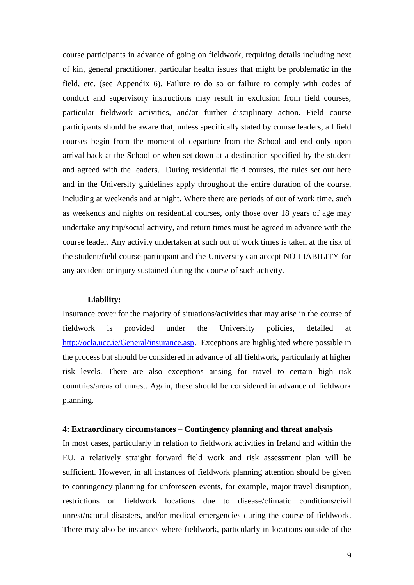course participants in advance of going on fieldwork, requiring details including next of kin, general practitioner, particular health issues that might be problematic in the field, etc. (see Appendix 6). Failure to do so or failure to comply with codes of conduct and supervisory instructions may result in exclusion from field courses, particular fieldwork activities, and/or further disciplinary action. Field course participants should be aware that, unless specifically stated by course leaders, all field courses begin from the moment of departure from the School and end only upon arrival back at the School or when set down at a destination specified by the student and agreed with the leaders. During residential field courses, the rules set out here and in the University guidelines apply throughout the entire duration of the course, including at weekends and at night. Where there are periods of out of work time, such as weekends and nights on residential courses, only those over 18 years of age may undertake any trip/social activity, and return times must be agreed in advance with the course leader. Any activity undertaken at such out of work times is taken at the risk of the student/field course participant and the University can accept NO LIABILITY for any accident or injury sustained during the course of such activity.

#### **Liability:**

Insurance cover for the majority of situations/activities that may arise in the course of fieldwork is provided under the University policies, detailed at [http://ocla.ucc.ie/General/insurance.asp.](http://ocla.ucc.ie/General/insurance.asp) Exceptions are highlighted where possible in the process but should be considered in advance of all fieldwork, particularly at higher risk levels. There are also exceptions arising for travel to certain high risk countries/areas of unrest. Again, these should be considered in advance of fieldwork planning.

#### **4: Extraordinary circumstances – Contingency planning and threat analysis**

In most cases, particularly in relation to fieldwork activities in Ireland and within the EU, a relatively straight forward field work and risk assessment plan will be sufficient. However, in all instances of fieldwork planning attention should be given to contingency planning for unforeseen events, for example, major travel disruption, restrictions on fieldwork locations due to disease/climatic conditions/civil unrest/natural disasters, and/or medical emergencies during the course of fieldwork. There may also be instances where fieldwork, particularly in locations outside of the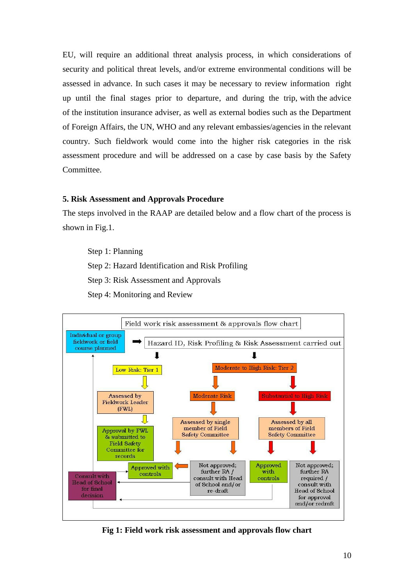EU, will require an additional threat analysis process, in which considerations of security and political threat levels, and/or extreme environmental conditions will be assessed in advance. In such cases it may be necessary to review information right up until the final stages prior to departure, and during the trip, with the advice of the institution insurance adviser, as well as external bodies such as the Department of Foreign Affairs, the UN, WHO and any relevant embassies/agencies in the relevant country. Such fieldwork would come into the higher risk categories in the risk assessment procedure and will be addressed on a case by case basis by the Safety Committee.

#### **5. Risk Assessment and Approvals Procedure**

The steps involved in the RAAP are detailed below and a flow chart of the process is shown in Fig.1.

Step 1: Planning Step 2: Hazard Identification and Risk Profiling Step 3: Risk Assessment and Approvals Step 4: Monitoring and Review



**Fig 1: Field work risk assessment and approvals flow chart**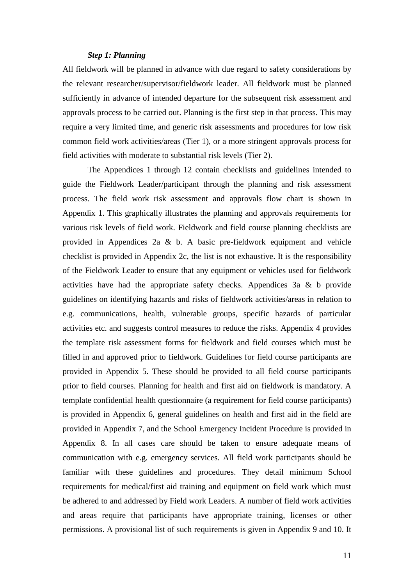#### *Step 1: Planning*

All fieldwork will be planned in advance with due regard to safety considerations by the relevant researcher/supervisor/fieldwork leader. All fieldwork must be planned sufficiently in advance of intended departure for the subsequent risk assessment and approvals process to be carried out. Planning is the first step in that process. This may require a very limited time, and generic risk assessments and procedures for low risk common field work activities/areas (Tier 1), or a more stringent approvals process for field activities with moderate to substantial risk levels (Tier 2).

The Appendices 1 through 12 contain checklists and guidelines intended to guide the Fieldwork Leader/participant through the planning and risk assessment process. The field work risk assessment and approvals flow chart is shown in Appendix 1. This graphically illustrates the planning and approvals requirements for various risk levels of field work. Fieldwork and field course planning checklists are provided in Appendices 2a & b. A basic pre-fieldwork equipment and vehicle checklist is provided in Appendix 2c, the list is not exhaustive. It is the responsibility of the Fieldwork Leader to ensure that any equipment or vehicles used for fieldwork activities have had the appropriate safety checks. Appendices 3a & b provide guidelines on identifying hazards and risks of fieldwork activities/areas in relation to e.g. communications, health, vulnerable groups, specific hazards of particular activities etc. and suggests control measures to reduce the risks. Appendix 4 provides the template risk assessment forms for fieldwork and field courses which must be filled in and approved prior to fieldwork. Guidelines for field course participants are provided in Appendix 5. These should be provided to all field course participants prior to field courses. Planning for health and first aid on fieldwork is mandatory. A template confidential health questionnaire (a requirement for field course participants) is provided in Appendix 6, general guidelines on health and first aid in the field are provided in Appendix 7, and the School Emergency Incident Procedure is provided in Appendix 8. In all cases care should be taken to ensure adequate means of communication with e.g. emergency services. All field work participants should be familiar with these guidelines and procedures. They detail minimum School requirements for medical/first aid training and equipment on field work which must be adhered to and addressed by Field work Leaders. A number of field work activities and areas require that participants have appropriate training, licenses or other permissions. A provisional list of such requirements is given in Appendix 9 and 10. It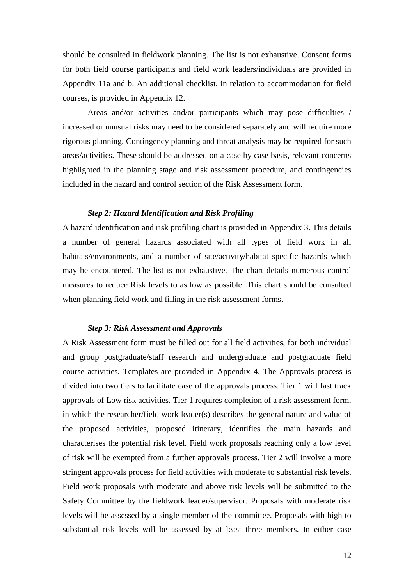should be consulted in fieldwork planning. The list is not exhaustive. Consent forms for both field course participants and field work leaders/individuals are provided in Appendix 11a and b. An additional checklist, in relation to accommodation for field courses, is provided in Appendix 12.

Areas and/or activities and/or participants which may pose difficulties / increased or unusual risks may need to be considered separately and will require more rigorous planning. Contingency planning and threat analysis may be required for such areas/activities. These should be addressed on a case by case basis, relevant concerns highlighted in the planning stage and risk assessment procedure, and contingencies included in the hazard and control section of the Risk Assessment form.

#### *Step 2: Hazard Identification and Risk Profiling*

A hazard identification and risk profiling chart is provided in Appendix 3. This details a number of general hazards associated with all types of field work in all habitats/environments, and a number of site/activity/habitat specific hazards which may be encountered. The list is not exhaustive. The chart details numerous control measures to reduce Risk levels to as low as possible. This chart should be consulted when planning field work and filling in the risk assessment forms.

#### *Step 3: Risk Assessment and Approvals*

A Risk Assessment form must be filled out for all field activities, for both individual and group postgraduate/staff research and undergraduate and postgraduate field course activities. Templates are provided in Appendix 4. The Approvals process is divided into two tiers to facilitate ease of the approvals process. Tier 1 will fast track approvals of Low risk activities. Tier 1 requires completion of a risk assessment form, in which the researcher/field work leader(s) describes the general nature and value of the proposed activities, proposed itinerary, identifies the main hazards and characterises the potential risk level. Field work proposals reaching only a low level of risk will be exempted from a further approvals process. Tier 2 will involve a more stringent approvals process for field activities with moderate to substantial risk levels. Field work proposals with moderate and above risk levels will be submitted to the Safety Committee by the fieldwork leader/supervisor. Proposals with moderate risk levels will be assessed by a single member of the committee. Proposals with high to substantial risk levels will be assessed by at least three members. In either case